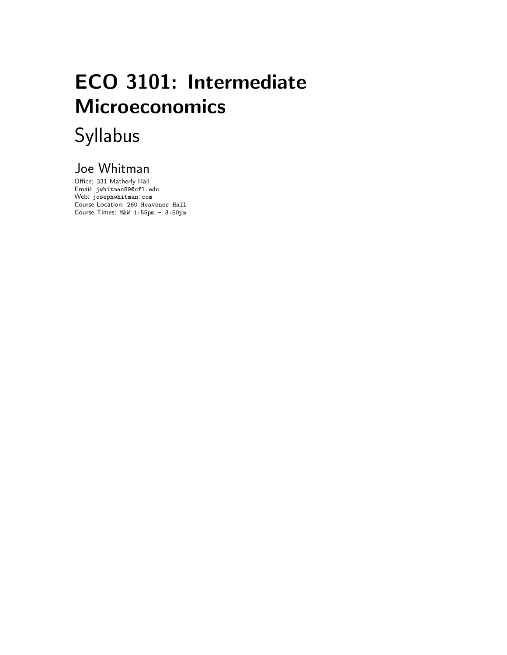# ECO 3101: Intermediate Microeconomics Syllabus

## Joe Whitman

Office: 331 Matherly Hall Email: jwhitman89@ufl.edu Web: josephwhitman.com Course Location: 260 Heavener Hall Course Times: M&W 1:55pm - 3:50pm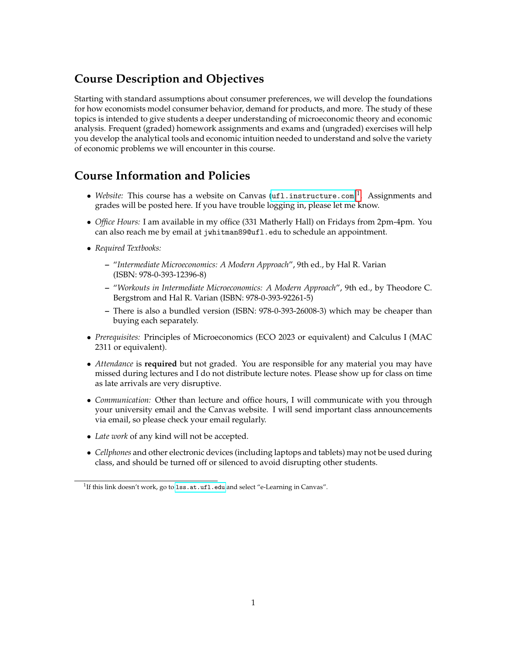### **Course Description and Objectives**

Starting with standard assumptions about consumer preferences, we will develop the foundations for how economists model consumer behavior, demand for products, and more. The study of these topics is intended to give students a deeper understanding of microeconomic theory and economic analysis. Frequent (graded) homework assignments and exams and (ungraded) exercises will help you develop the analytical tools and economic intuition needed to understand and solve the variety of economic problems we will encounter in this course.

### **Course Information and Policies**

- Website: This course has a website on Canvas (<ufl.instructure.com>)<sup>[1](#page-1-0)</sup>. Assignments and grades will be posted here. If you have trouble logging in, please let me know.
- *Office Hours:* I am available in my office (331 Matherly Hall) on Fridays from 2pm-4pm. You can also reach me by email at jwhitman89@ufl.edu to schedule an appointment.
- *Required Textbooks:*
	- **–** "*Intermediate Microeconomics: A Modern Approach*", 9th ed., by Hal R. Varian (ISBN: 978-0-393-12396-8)
	- **–** "*Workouts in Intermediate Microeconomics: A Modern Approach*", 9th ed., by Theodore C. Bergstrom and Hal R. Varian (ISBN: 978-0-393-92261-5)
	- **–** There is also a bundled version (ISBN: 978-0-393-26008-3) which may be cheaper than buying each separately.
- *Prerequisites:* Principles of Microeconomics (ECO 2023 or equivalent) and Calculus I (MAC 2311 or equivalent).
- *Attendance* is **required** but not graded. You are responsible for any material you may have missed during lectures and I do not distribute lecture notes. Please show up for class on time as late arrivals are very disruptive.
- *Communication:* Other than lecture and office hours, I will communicate with you through your university email and the Canvas website. I will send important class announcements via email, so please check your email regularly.
- *Late work* of any kind will not be accepted.
- *Cellphones* and other electronic devices (including laptops and tablets) may not be used during class, and should be turned off or silenced to avoid disrupting other students.

<span id="page-1-0"></span><sup>&</sup>lt;sup>1</sup>If this link doesn't work, go to 1ss.at.uf1.edu and select "e-Learning in Canvas".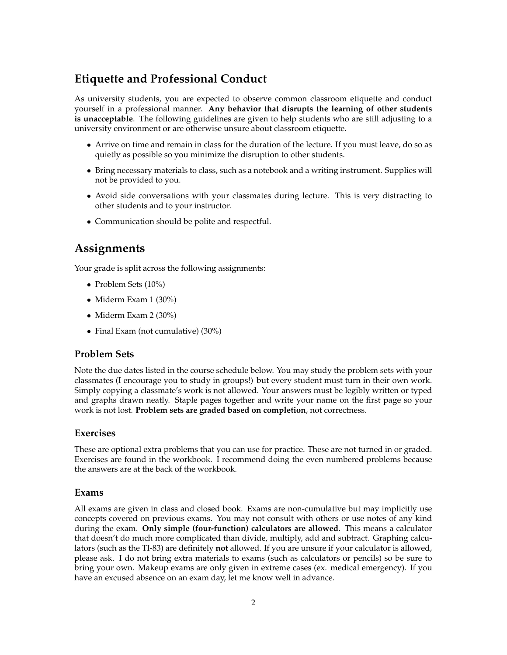### **Etiquette and Professional Conduct**

As university students, you are expected to observe common classroom etiquette and conduct yourself in a professional manner. **Any behavior that disrupts the learning of other students is unacceptable**. The following guidelines are given to help students who are still adjusting to a university environment or are otherwise unsure about classroom etiquette.

- Arrive on time and remain in class for the duration of the lecture. If you must leave, do so as quietly as possible so you minimize the disruption to other students.
- Bring necessary materials to class, such as a notebook and a writing instrument. Supplies will not be provided to you.
- Avoid side conversations with your classmates during lecture. This is very distracting to other students and to your instructor.
- Communication should be polite and respectful.

### **Assignments**

Your grade is split across the following assignments:

- Problem Sets (10%)
- Miderm Exam 1 (30%)
- Miderm Exam 2 (30%)
- Final Exam (not cumulative) (30%)

#### **Problem Sets**

Note the due dates listed in the course schedule below. You may study the problem sets with your classmates (I encourage you to study in groups!) but every student must turn in their own work. Simply copying a classmate's work is not allowed. Your answers must be legibly written or typed and graphs drawn neatly. Staple pages together and write your name on the first page so your work is not lost. **Problem sets are graded based on completion**, not correctness.

#### **Exercises**

These are optional extra problems that you can use for practice. These are not turned in or graded. Exercises are found in the workbook. I recommend doing the even numbered problems because the answers are at the back of the workbook.

#### **Exams**

All exams are given in class and closed book. Exams are non-cumulative but may implicitly use concepts covered on previous exams. You may not consult with others or use notes of any kind during the exam. **Only simple (four-function) calculators are allowed**. This means a calculator that doesn't do much more complicated than divide, multiply, add and subtract. Graphing calculators (such as the TI-83) are definitely **not** allowed. If you are unsure if your calculator is allowed, please ask. I do not bring extra materials to exams (such as calculators or pencils) so be sure to bring your own. Makeup exams are only given in extreme cases (ex. medical emergency). If you have an excused absence on an exam day, let me know well in advance.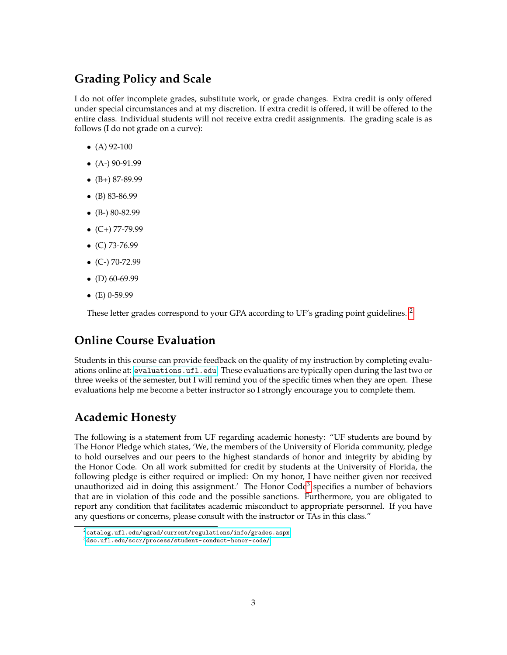### **Grading Policy and Scale**

I do not offer incomplete grades, substitute work, or grade changes. Extra credit is only offered under special circumstances and at my discretion. If extra credit is offered, it will be offered to the entire class. Individual students will not receive extra credit assignments. The grading scale is as follows (I do not grade on a curve):

- $(A)$  92-100
- $\bullet$  (A-) 90-91.99
- $\bullet$  (B+) 87-89.99
- (B) 83-86.99
- $\bullet$  (B-) 80-82.99
- $\bullet$  (C+) 77-79.99
- $\bullet$  (C) 73-76.99
- $\bullet$  (C-) 70-72.99
- (D)  $60-69.99$
- $\bullet$  (E) 0-59.99

These letter grades correspond to your GPA according to UF's grading point guidelines.<sup>[2](#page-3-0)</sup>

### **Online Course Evaluation**

Students in this course can provide feedback on the quality of my instruction by completing evaluations online at: <evaluations.ufl.edu>. These evaluations are typically open during the last two or three weeks of the semester, but I will remind you of the specific times when they are open. These evaluations help me become a better instructor so I strongly encourage you to complete them.

### **Academic Honesty**

The following is a statement from UF regarding academic honesty: "UF students are bound by The Honor Pledge which states, 'We, the members of the University of Florida community, pledge to hold ourselves and our peers to the highest standards of honor and integrity by abiding by the Honor Code. On all work submitted for credit by students at the University of Florida, the following pledge is either required or implied: On my honor, I have neither given nor received unauthorized aid in doing this assignment.' The Honor Code<sup>[3](#page-3-1)</sup> specifies a number of behaviors that are in violation of this code and the possible sanctions. Furthermore, you are obligated to report any condition that facilitates academic misconduct to appropriate personnel. If you have any questions or concerns, please consult with the instructor or TAs in this class."

<span id="page-3-0"></span> $^2$ <catalog.ufl.edu/ugrad/current/regulations/info/grades.aspx>  $\,$ 

<span id="page-3-1"></span> $^3$ <dso.ufl.edu/sccr/process/student-conduct-honor-code/>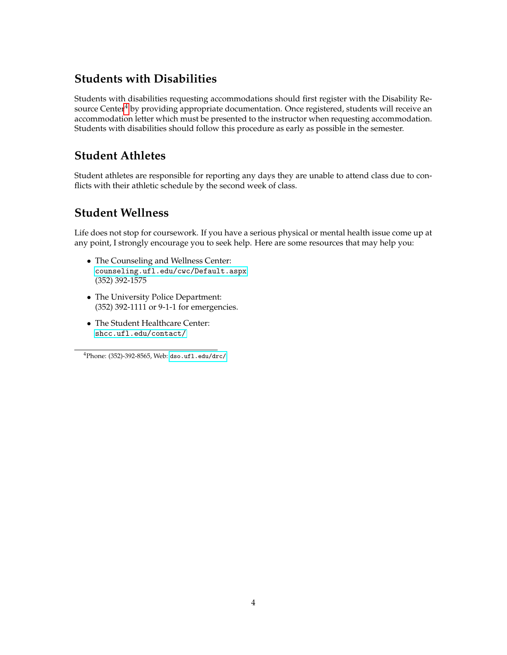### **Students with Disabilities**

Students with disabilities requesting accommodations should first register with the Disability Re-source Center<sup>[4](#page-4-0)</sup> by providing appropriate documentation. Once registered, students will receive an accommodation letter which must be presented to the instructor when requesting accommodation. Students with disabilities should follow this procedure as early as possible in the semester.

### **Student Athletes**

Student athletes are responsible for reporting any days they are unable to attend class due to conflicts with their athletic schedule by the second week of class.

### **Student Wellness**

Life does not stop for coursework. If you have a serious physical or mental health issue come up at any point, I strongly encourage you to seek help. Here are some resources that may help you:

- The Counseling and Wellness Center: <counseling.ufl.edu/cwc/Default.aspx> (352) 392-1575
- The University Police Department: (352) 392-1111 or 9-1-1 for emergencies.
- The Student Healthcare Center: <shcc.ufl.edu/contact/>

<span id="page-4-0"></span><sup>4</sup>Phone: (352)-392-8565, Web: <dso.ufl.edu/drc/>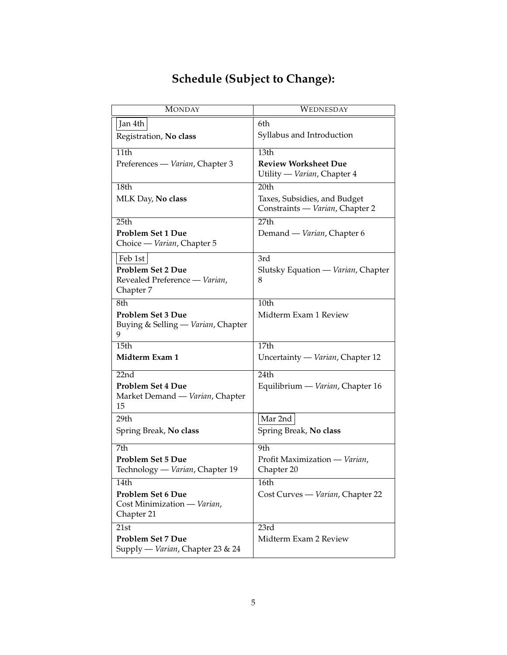|  | <b>Schedule (Subject to Change):</b> |  |
|--|--------------------------------------|--|
|--|--------------------------------------|--|

| <b>MONDAY</b>                                                | WEDNESDAY                                                       |
|--------------------------------------------------------------|-----------------------------------------------------------------|
| Jan 4th                                                      | 6th                                                             |
| Registration, No class                                       | Syllabus and Introduction                                       |
| 11th                                                         | 13th                                                            |
| Preferences — Varian, Chapter 3                              | <b>Review Worksheet Due</b><br>Utility — Varian, Chapter 4      |
| 18th                                                         | 20th                                                            |
| MLK Day, No class                                            | Taxes, Subsidies, and Budget<br>Constraints — Varian, Chapter 2 |
| 25th                                                         | 27th                                                            |
| <b>Problem Set 1 Due</b><br>Choice — Varian, Chapter 5       | Demand — Varian, Chapter 6                                      |
| Feb 1st                                                      | 3rd                                                             |
| <b>Problem Set 2 Due</b>                                     | Slutsky Equation — Varian, Chapter                              |
| Revealed Preference - Varian,<br>Chapter 7                   | 8                                                               |
| 8th                                                          | 10th                                                            |
| Problem Set 3 Due<br>Buying & Selling - Varian, Chapter<br>9 | Midterm Exam 1 Review                                           |
| 15th                                                         | 17th                                                            |
| Midterm Exam 1                                               | Uncertainty — Varian, Chapter 12                                |
| $\overline{22nd}$                                            | 24th                                                            |
| <b>Problem Set 4 Due</b>                                     | Equilibrium — Varian, Chapter 16                                |
| Market Demand — Varian, Chapter<br>15                        |                                                                 |
| 29th                                                         | Mar 2nd                                                         |
| Spring Break, No class                                       | Spring Break, No class                                          |
| 7th                                                          | 9th                                                             |
| <b>Problem Set 5 Due</b>                                     | Profit Maximization - Varian,                                   |
| Technology - Varian, Chapter 19                              | Chapter 20                                                      |
| 14th                                                         | 16th                                                            |
| <b>Problem Set 6 Due</b>                                     | Cost Curves - Varian, Chapter 22                                |
| Cost Minimization - Varian,                                  |                                                                 |
| Chapter 21                                                   |                                                                 |
| 21st                                                         | 23rd                                                            |
| <b>Problem Set 7 Due</b><br>Supply — Varian, Chapter 23 & 24 | Midterm Exam 2 Review                                           |
|                                                              |                                                                 |